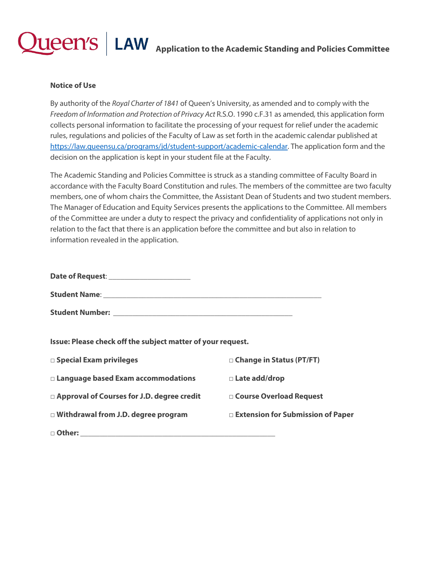## $\textbf{u}$ een's  $\mid$  LAW  $\mid$  Application to the Academic Standing and Policies Committee

## **Notice of Use**

By authority of the *Royal Charter of 1841* of Queen's University, as amended and to comply with the *Freedom of Information and Protection of Privacy Act* R.S.O. 1990 c.F.31 as amended*,* this application form collects personal information to facilitate the processing of your request for relief under the academic rules, regulations and policies of the Faculty of Law as set forth in the academic calendar published at [https://law.queensu.ca/programs/jd/student-support/academic-calendar.](https://law.queensu.ca/programs/jd/student-support/academic-calendar) The application form and the decision on the application is kept in your student file at the Faculty.

The Academic Standing and Policies Committee is struck as a standing committee of Faculty Board in accordance with the Faculty Board Constitution and rules. The members of the committee are two faculty members, one of whom chairs the Committee, the Assistant Dean of Students and two student members. The Manager of Education and Equity Services presents the applications to the Committee. All members of the Committee are under a duty to respect the privacy and confidentiality of applications not only in relation to the fact that there is an application before the committee and but also in relation to information revealed in the application.

| Date of Request: ________ |  |
|---------------------------|--|
| <b>Student Name:</b>      |  |
| <b>Student Number:</b>    |  |

**Issue: Please check off the subject matter of your request.**

| $\square$ Special Exam privileges            | □ Change in Status (PT/FT)          |
|----------------------------------------------|-------------------------------------|
| $\Box$ Language based Exam accommodations    | □ Late add/drop                     |
| □ Approval of Courses for J.D. degree credit | □ Course Overload Request           |
| $\Box$ Withdrawal from J.D. degree program   | □ Extension for Submission of Paper |
| □ Other:                                     |                                     |